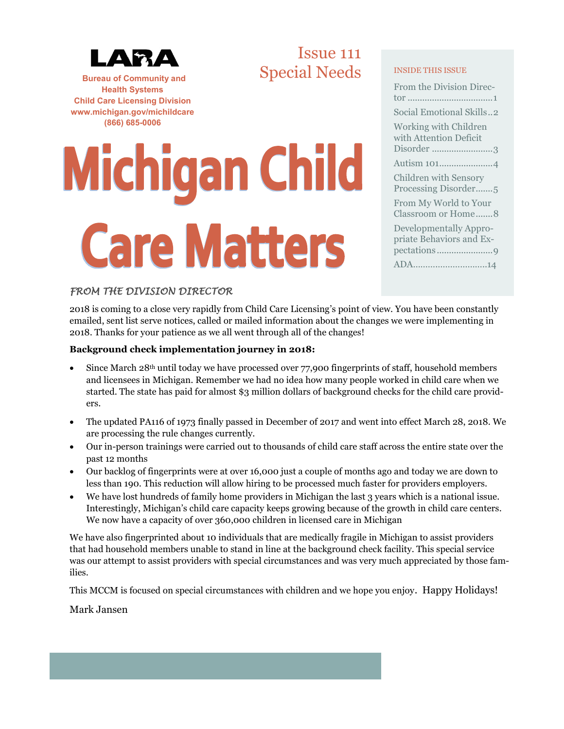

**Bureau of Community and Health Systems Child Care Licensing Division www.michigan.gov/michildcare (866) 685-0006**

# Issue 111 Special Needs INSIDE THIS ISSUE

# **Michigan Child Care Matters**

| From the Division Direc-                                      |
|---------------------------------------------------------------|
|                                                               |
| Social Emotional Skills2                                      |
| Working with Children<br>with Attention Deficit<br>Disorder 3 |
| Autism 1014                                                   |
| <b>Children with Sensory</b><br>Processing Disorder5          |
| From My World to Your<br>Classroom or Home8                   |
| Developmentally Appro-<br>priate Behaviors and Ex-            |
| ADA14                                                         |
|                                                               |

# *FROM THE DIVISION DIRECTOR*

2018 is coming to a close very rapidly from Child Care Licensing's point of view. You have been constantly emailed, sent list serve notices, called or mailed information about the changes we were implementing in 2018. Thanks for your patience as we all went through all of the changes!

# **Background check implementation journey in 2018:**

- Since March 28<sup>th</sup> until today we have processed over 77,900 fingerprints of staff, household members and licensees in Michigan. Remember we had no idea how many people worked in child care when we started. The state has paid for almost \$3 million dollars of background checks for the child care providers.
- The updated PA116 of 1973 finally passed in December of 2017 and went into effect March 28, 2018. We are processing the rule changes currently.
- Our in-person trainings were carried out to thousands of child care staff across the entire state over the past 12 months
- Our backlog of fingerprints were at over 16,000 just a couple of months ago and today we are down to less than 190. This reduction will allow hiring to be processed much faster for providers employers.
- We have lost hundreds of family home providers in Michigan the last 3 years which is a national issue. Interestingly, Michigan's child care capacity keeps growing because of the growth in child care centers. We now have a capacity of over 360,000 children in licensed care in Michigan

We have also fingerprinted about 10 individuals that are medically fragile in Michigan to assist providers that had household members unable to stand in line at the background check facility. This special service was our attempt to assist providers with special circumstances and was very much appreciated by those families.

This MCCM is focused on special circumstances with children and we hope you enjoy. Happy Holidays!

# Mark Jansen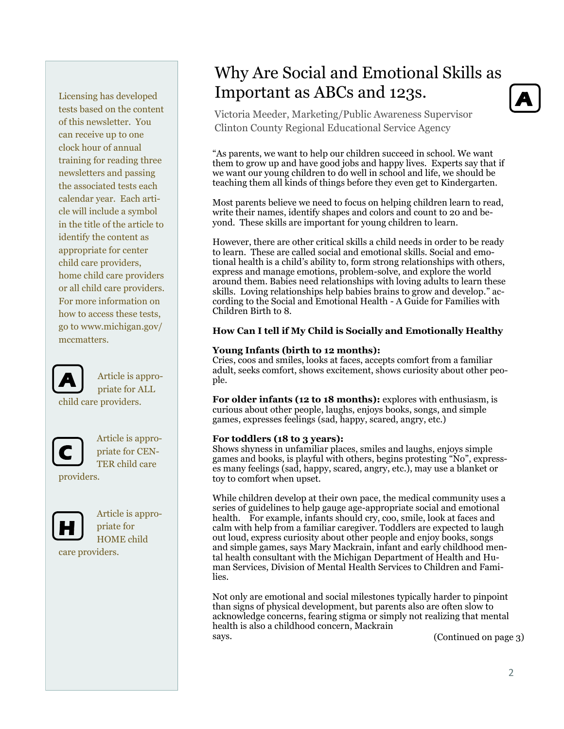Licensing has developed tests based on the content of this newsletter. You can receive up to one clock hour of annual training for reading three newsletters and passing the associated tests each calendar year. Each article will include a symbol in the title of the article to identify the content as appropriate for center child care providers, home child care providers or all child care providers. For more information on how to access these tests, go to www.michigan.gov/ mccmatters.



Article is appropriate for ALL

child care providers.



Article is appropriate for CEN-TER child care

providers.



Article is appropriate for HOME child care providers.

# Why Are Social and Emotional Skills as Important as ABCs and 123s.

Victoria Meeder, Marketing/Public Awareness Supervisor Clinton County Regional Educational Service Agency

"As parents, we want to help our children succeed in school. We want them to grow up and have good jobs and happy lives. Experts say that if we want our young children to do well in school and life, we should be teaching them all kinds of things before they even get to Kindergarten.

Most parents believe we need to focus on helping children learn to read, write their names, identify shapes and colors and count to 20 and beyond. These skills are important for young children to learn.

However, there are other critical skills a child needs in order to be ready to learn. These are called social and emotional skills. Social and emotional health is a child's ability to, form strong relationships with others, express and manage emotions, problem-solve, and explore the world around them. Babies need relationships with loving adults to learn these skills. Loving relationships help babies brains to grow and develop." according to the Social and Emotional Health - A Guide for Families with Children Birth to 8.

# **How Can I tell if My Child is Socially and Emotionally Healthy**

### **Young Infants (birth to 12 months):**

Cries, coos and smiles, looks at faces, accepts comfort from a familiar adult, seeks comfort, shows excitement, shows curiosity about other people.

For older infants (12 to 18 months): explores with enthusiasm, is curious about other people, laughs, enjoys books, songs, and simple games, expresses feelings (sad, happy, scared, angry, etc.)

### **For toddlers (18 to 3 years):**

Shows shyness in unfamiliar places, smiles and laughs, enjoys simple games and books, is playful with others, begins protesting "No", expresses many feelings (sad, happy, scared, angry, etc.), may use a blanket or toy to comfort when upset.

While children develop at their own pace, the medical community uses a series of guidelines to help gauge age-appropriate social and emotional health. For example, infants should cry, coo, smile, look at faces and calm with help from a familiar caregiver. Toddlers are expected to laugh out loud, express curiosity about other people and enjoy books, songs and simple games, says Mary Mackrain, infant and early childhood mental health consultant with the Michigan Department of Health and Human Services, Division of Mental Health Services to Children and Families.

Not only are emotional and social milestones typically harder to pinpoint than signs of physical development, but parents also are often slow to acknowledge concerns, fearing stigma or simply not realizing that mental health is also a childhood concern, Mackrain says.

(Continued on page 3)

**A**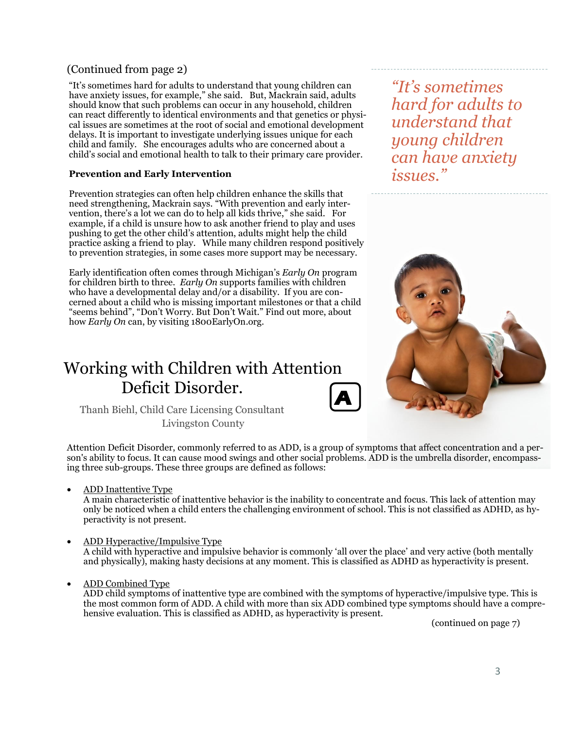# (Continued from page 2)

"It's sometimes hard for adults to understand that young children can have anxiety issues, for example," she said. But, Mackrain said, adults should know that such problems can occur in any household, children can react differently to identical environments and that genetics or physical issues are sometimes at the root of social and emotional development delays. It is important to investigate underlying issues unique for each child and family. She encourages adults who are concerned about a child's social and emotional health to talk to their primary care provider.

# **Prevention and Early Intervention**

Prevention strategies can often help children enhance the skills that need strengthening, Mackrain says. "With prevention and early intervention, there's a lot we can do to help all kids thrive," she said. For example, if a child is unsure how to ask another friend to play and uses pushing to get the other child's attention, adults might help the child practice asking a friend to play. While many children respond positively to prevention strategies, in some cases more support may be necessary.

Early identification often comes through Michigan's *Early On* program for children birth to three. *Early On* supports families with children who have a developmental delay and/or a disability. If you are concerned about a child who is missing important milestones or that a child "seems behind", "Don't Worry. But Don't Wait." Find out more, about how *Early On* can, by visiting 1800EarlyOn.org.

# Working with Children with Attention Deficit Disorder.



Thanh Biehl, Child Care Licensing Consultant Livingston County

Attention Deficit Disorder, commonly referred to as ADD, is a group of symptoms that affect concentration and a person's ability to focus. It can cause mood swings and other social problems. ADD is the umbrella disorder, encompassing three sub-groups. These three groups are defined as follows:

• ADD Inattentive Type

A main characteristic of inattentive behavior is the inability to concentrate and focus. This lack of attention may only be noticed when a child enters the challenging environment of school. This is not classified as ADHD, as hyperactivity is not present.

- ADD Hyperactive/Impulsive Type A child with hyperactive and impulsive behavior is commonly 'all over the place' and very active (both mentally and physically), making hasty decisions at any moment. This is classified as ADHD as hyperactivity is present.
- ADD Combined Type

ADD child symptoms of inattentive type are combined with the symptoms of hyperactive/impulsive type. This is the most common form of ADD. A child with more than six ADD combined type symptoms should have a comprehensive evaluation. This is classified as ADHD, as hyperactivity is present.

(continued on page 7)

*"It's sometimes hard for adults to understand that young children can have anxiety issues."*

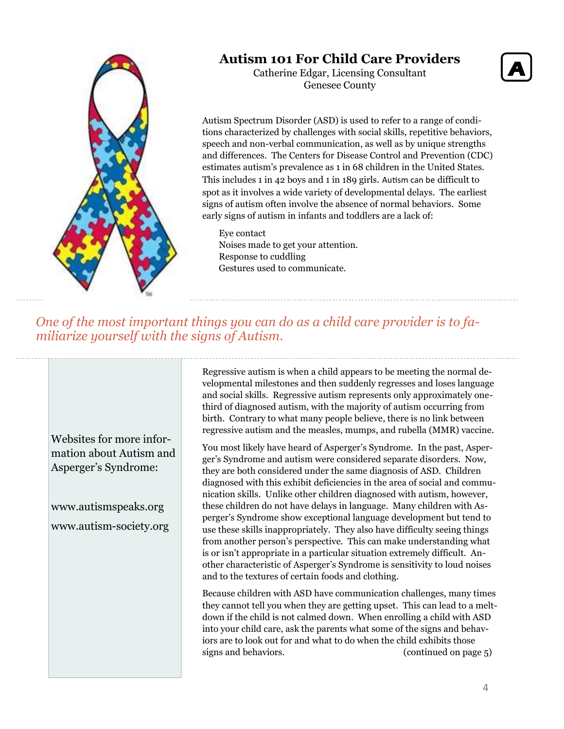

# **Autism 101 For Child Care Providers**

Catherine Edgar, Licensing Consultant Genesee County



Autism Spectrum Disorder (ASD) is used to refer to a range of conditions characterized by challenges with social skills, repetitive behaviors, speech and non-verbal communication, as well as by unique strengths and differences. The Centers for Disease Control and Prevention (CDC) estimates autism's prevalence as 1 in 68 children in the United States. This includes 1 in 42 boys and 1 in 189 girls. Autism can be difficult to spot as it involves a wide variety of developmental delays. The earliest signs of autism often involve the absence of normal behaviors. Some early signs of autism in infants and toddlers are a lack of:

Eye contact Noises made to get your attention. Response to cuddling Gestures used to communicate.

*One of the most important things you can do as a child care provider is to familiarize yourself with the signs of Autism.*

Websites for more information about Autism and Asperger's Syndrome:

www.autismspeaks.org www.autism-society.org Regressive autism is when a child appears to be meeting the normal developmental milestones and then suddenly regresses and loses language and social skills. Regressive autism represents only approximately onethird of diagnosed autism, with the majority of autism occurring from birth. Contrary to what many people believe, there is no link between regressive autism and the measles, mumps, and rubella (MMR) vaccine.

You most likely have heard of Asperger's Syndrome. In the past, Asperger's Syndrome and autism were considered separate disorders. Now, they are both considered under the same diagnosis of ASD. Children diagnosed with this exhibit deficiencies in the area of social and communication skills. Unlike other children diagnosed with autism, however, these children do not have delays in language. Many children with Asperger's Syndrome show exceptional language development but tend to use these skills inappropriately. They also have difficulty seeing things from another person's perspective. This can make understanding what is or isn't appropriate in a particular situation extremely difficult. Another characteristic of Asperger's Syndrome is sensitivity to loud noises and to the textures of certain foods and clothing.

Because children with ASD have communication challenges, many times they cannot tell you when they are getting upset. This can lead to a meltdown if the child is not calmed down. When enrolling a child with ASD into your child care, ask the parents what some of the signs and behaviors are to look out for and what to do when the child exhibits those signs and behaviors. (continued on page 5)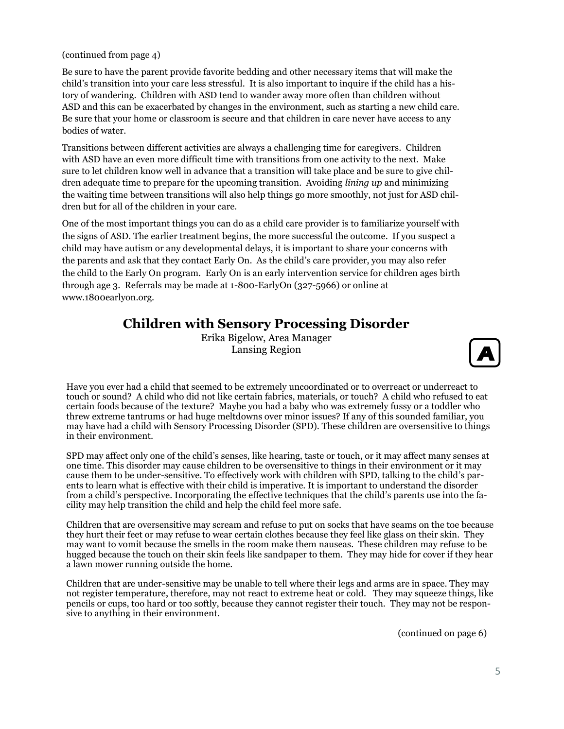(continued from page 4)

Be sure to have the parent provide favorite bedding and other necessary items that will make the child's transition into your care less stressful. It is also important to inquire if the child has a history of wandering. Children with ASD tend to wander away more often than children without ASD and this can be exacerbated by changes in the environment, such as starting a new child care. Be sure that your home or classroom is secure and that children in care never have access to any bodies of water.

Transitions between different activities are always a challenging time for caregivers. Children with ASD have an even more difficult time with transitions from one activity to the next. Make sure to let children know well in advance that a transition will take place and be sure to give children adequate time to prepare for the upcoming transition. Avoiding *lining up* and minimizing the waiting time between transitions will also help things go more smoothly, not just for ASD children but for all of the children in your care.

One of the most important things you can do as a child care provider is to familiarize yourself with the signs of ASD. The earlier treatment begins, the more successful the outcome. If you suspect a child may have autism or any developmental delays, it is important to share your concerns with the parents and ask that they contact Early On. As the child's care provider, you may also refer the child to the Early On program. Early On is an early intervention service for children ages birth through age 3. Referrals may be made at 1-800-EarlyOn (327-5966) or online at www.1800earlyon.org.

# **Children with Sensory Processing Disorder**

Erika Bigelow, Area Manager Lansing Region



Have you ever had a child that seemed to be extremely uncoordinated or to overreact or underreact to touch or sound? A child who did not like certain fabrics, materials, or touch? A child who refused to eat certain foods because of the texture? Maybe you had a baby who was extremely fussy or a toddler who threw extreme tantrums or had huge meltdowns over minor issues? If any of this sounded familiar, you may have had a child with Sensory Processing Disorder (SPD). These children are oversensitive to things in their environment.

SPD may affect only one of the child's senses, like hearing, taste or touch, or it may affect many senses at one time. This disorder may cause children to be oversensitive to things in their environment or it may cause them to be under-sensitive. To effectively work with children with SPD, talking to the child's parents to learn what is effective with their child is imperative. It is important to understand the disorder from a child's perspective. Incorporating the effective techniques that the child's parents use into the facility may help transition the child and help the child feel more safe.

Children that are oversensitive may scream and refuse to put on socks that have seams on the toe because they hurt their feet or may refuse to wear certain clothes because they feel like glass on their skin. They may want to vomit because the smells in the room make them nauseas. These children may refuse to be hugged because the touch on their skin feels like sandpaper to them. They may hide for cover if they hear a lawn mower running outside the home.

Children that are under-sensitive may be unable to tell where their legs and arms are in space. They may not register temperature, therefore, may not react to extreme heat or cold. They may squeeze things, like pencils or cups, too hard or too softly, because they cannot register their touch. They may not be responsive to anything in their environment.

(continued on page 6)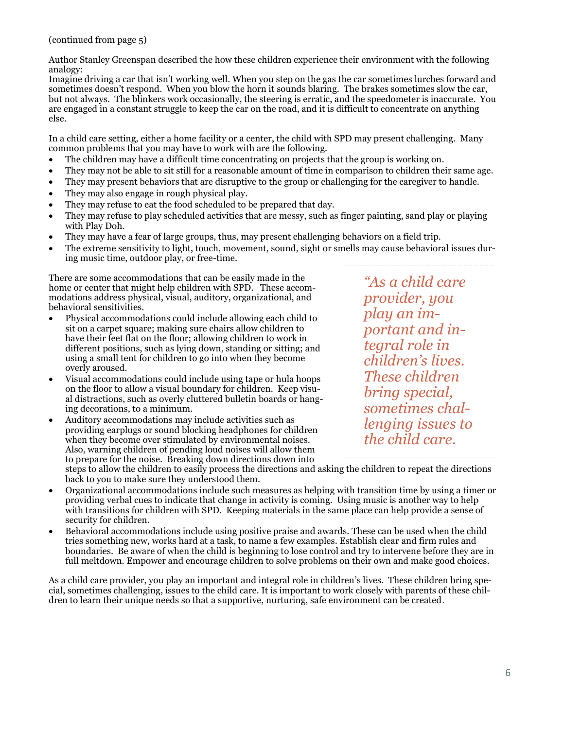(continued from page 5)

Author Stanley Greenspan described the how these children experience their environment with the following analogy:

Imagine driving a car that isn't working well. When you step on the gas the car sometimes lurches forward and sometimes doesn't respond. When you blow the horn it sounds blaring. The brakes sometimes slow the car, but not always. The blinkers work occasionally, the steering is erratic, and the speedometer is inaccurate. You are engaged in a constant struggle to keep the car on the road, and it is difficult to concentrate on anything else.

In a child care setting, either a home facility or a center, the child with SPD may present challenging. Many common problems that you may have to work with are the following.

- The children may have a difficult time concentrating on projects that the group is working on.
- They may not be able to sit still for a reasonable amount of time in comparison to children their same age.
- They may present behaviors that are disruptive to the group or challenging for the caregiver to handle.
- They may also engage in rough physical play.
- They may refuse to eat the food scheduled to be prepared that day.
- They may refuse to play scheduled activities that are messy, such as finger painting, sand play or playing with Play Doh.
- They may have a fear of large groups, thus, may present challenging behaviors on a field trip.
- The extreme sensitivity to light, touch, movement, sound, sight or smells may cause behavioral issues during music time, outdoor play, or free-time.

There are some accommodations that can be easily made in the home or center that might help children with SPD. These accommodations address physical, visual, auditory, organizational, and behavioral sensitivities.

- Physical accommodations could include allowing each child to sit on a carpet square; making sure chairs allow children to have their feet flat on the floor; allowing children to work in different positions, such as lying down, standing or sitting; and using a small tent for children to go into when they become overly aroused.
- Visual accommodations could include using tape or hula hoops on the floor to allow a visual boundary for children. Keep visual distractions, such as overly cluttered bulletin boards or hanging decorations, to a minimum.
- Auditory accommodations may include activities such as providing earplugs or sound blocking headphones for children when they become over stimulated by environmental noises. Also, warning children of pending loud noises will allow them to prepare for the noise. Breaking down directions down into steps to allow the children to easily process the directions and asking the children to repeat the directions

back to you to make sure they understood them. • Organizational accommodations include such measures as helping with transition time by using a timer or providing verbal cues to indicate that change in activity is coming. Using music is another way to help with transitions for children with SPD. Keeping materials in the same place can help provide a sense of

security for children. • Behavioral accommodations include using positive praise and awards. These can be used when the child tries something new, works hard at a task, to name a few examples. Establish clear and firm rules and boundaries. Be aware of when the child is beginning to lose control and try to intervene before they are in full meltdown. Empower and encourage children to solve problems on their own and make good choices.

As a child care provider, you play an important and integral role in children's lives. These children bring special, sometimes challenging, issues to the child care. It is important to work closely with parents of these children to learn their unique needs so that a supportive, nurturing, safe environment can be created.

*"As a child care provider, you play an important and integral role in children's lives. These children bring special, sometimes challenging issues to the child care.* 

6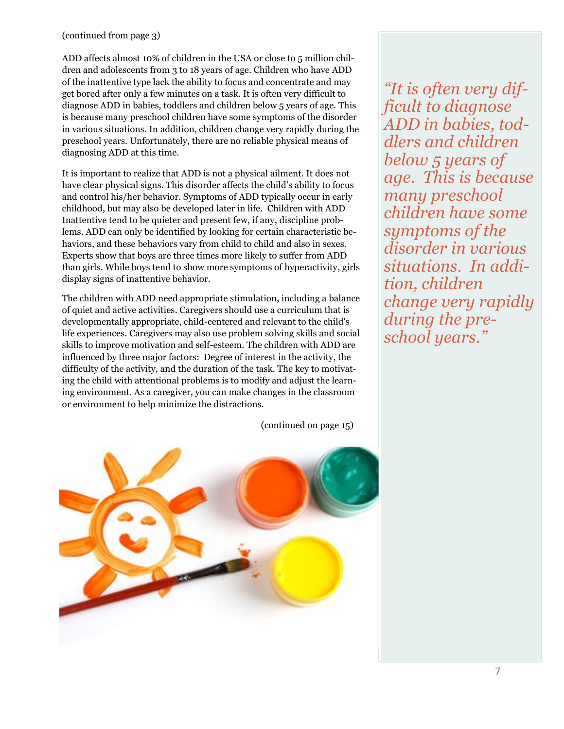# (continued from page 3)

ADD affects almost 10% of children in the USA or close to 5 million children and adolescents from 3 to 18 years of age. Children who have ADD of the inattentive type lack the ability to focus and concentrate and may get bored after only a few minutes on a task. It is often very difficult to diagnose ADD in babies, toddlers and children below 5 years of age. This is because many preschool children have some symptoms of the disorder in various situations. In addition, children change very rapidly during the preschool years. Unfortunately, there are no reliable physical means of diagnosing ADD at this time.

It is important to realize that ADD is not a physical ailment. It does not have clear physical signs. This disorder affects the child's ability to focus and control his/her behavior. Symptoms of ADD typically occur in early childhood, but may also be developed later in life. Children with ADD Inattentive tend to be quieter and present few, if any, discipline problems. ADD can only be identified by looking for certain characteristic behaviors, and these behaviors vary from child to child and also in sexes. Experts show that boys are three times more likely to suffer from ADD than girls. While boys tend to show more symptoms of hyperactivity, girls display signs of inattentive behavior.

The children with ADD need appropriate stimulation, including a balance of quiet and active activities. Caregivers should use a curriculum that is developmentally appropriate, child-centered and relevant to the child's life experiences. Caregivers may also use problem solving skills and social skills to improve motivation and self-esteem. The children with ADD are influenced by three major factors: Degree of interest in the activity, the difficulty of the activity, and the duration of the task. The key to motivating the child with attentional problems is to modify and adjust the learning environment. As a caregiver, you can make changes in the classroom or environment to help minimize the distractions.

(continued on page 15)



*"It is often very difficult to diagnose ADD in babies, toddlers and children below 5 years of age. This is because many preschool children have some symptoms of the disorder in various situations. In addition, children change very rapidly during the preschool years."*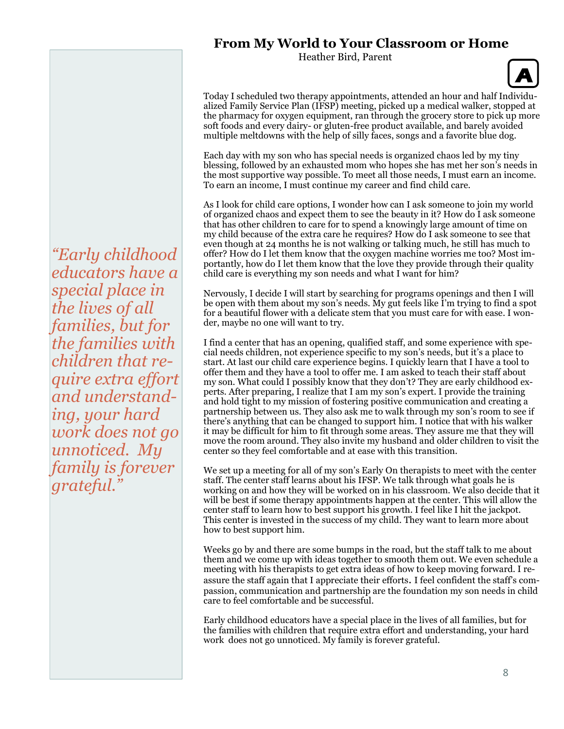# **From My World to Your Classroom or Home**

Heather Bird, Parent



Today I scheduled two therapy appointments, attended an hour and half Individualized Family Service Plan (IFSP) meeting, picked up a medical walker, stopped at the pharmacy for oxygen equipment, ran through the grocery store to pick up more soft foods and every dairy- or gluten-free product available, and barely avoided multiple meltdowns with the help of silly faces, songs and a favorite blue dog.

Each day with my son who has special needs is organized chaos led by my tiny blessing, followed by an exhausted mom who hopes she has met her son's needs in the most supportive way possible. To meet all those needs, I must earn an income. To earn an income, I must continue my career and find child care.

As I look for child care options, I wonder how can I ask someone to join my world of organized chaos and expect them to see the beauty in it? How do I ask someone that has other children to care for to spend a knowingly large amount of time on my child because of the extra care he requires? How do I ask someone to see that even though at 24 months he is not walking or talking much, he still has much to offer? How do I let them know that the oxygen machine worries me too? Most importantly, how do I let them know that the love they provide through their quality child care is everything my son needs and what I want for him?

Nervously, I decide I will start by searching for programs openings and then I will be open with them about my son's needs. My gut feels like I'm trying to find a spot for a beautiful flower with a delicate stem that you must care for with ease. I wonder, maybe no one will want to try.

I find a center that has an opening, qualified staff, and some experience with special needs children, not experience specific to my son's needs, but it's a place to start. At last our child care experience begins. I quickly learn that I have a tool to offer them and they have a tool to offer me. I am asked to teach their staff about my son. What could I possibly know that they don't? They are early childhood experts. After preparing, I realize that I am my son's expert. I provide the training and hold tight to my mission of fostering positive communication and creating a partnership between us. They also ask me to walk through my son's room to see if there's anything that can be changed to support him. I notice that with his walker it may be difficult for him to fit through some areas. They assure me that they will move the room around. They also invite my husband and older children to visit the center so they feel comfortable and at ease with this transition.

We set up a meeting for all of my son's Early On therapists to meet with the center staff. The center staff learns about his IFSP. We talk through what goals he is working on and how they will be worked on in his classroom. We also decide that it will be best if some therapy appointments happen at the center. This will allow the center staff to learn how to best support his growth. I feel like I hit the jackpot. This center is invested in the success of my child. They want to learn more about how to best support him.

Weeks go by and there are some bumps in the road, but the staff talk to me about them and we come up with ideas together to smooth them out. We even schedule a meeting with his therapists to get extra ideas of how to keep moving forward. I reassure the staff again that I appreciate their efforts. I feel confident the staff's compassion, communication and partnership are the foundation my son needs in child care to feel comfortable and be successful.

Early childhood educators have a special place in the lives of all families, but for the families with children that require extra effort and understanding, your hard work does not go unnoticed. My family is forever grateful.

*"Early childhood educators have a special place in the lives of all families, but for the families with children that require extra effort and understanding, your hard work does not go unnoticed. My family is forever grateful."*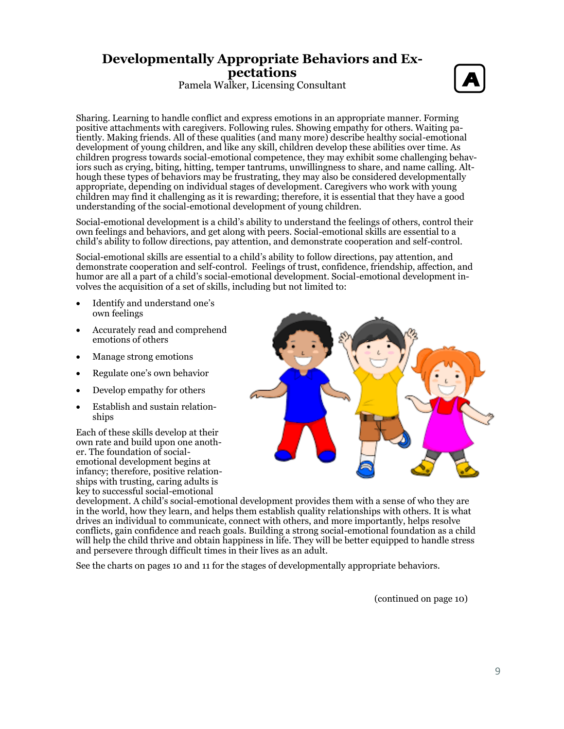# **Developmentally Appropriate Behaviors and Expectations**

Pamela Walker, Licensing Consultant



Sharing. Learning to handle conflict and express emotions in an appropriate manner. Forming positive attachments with caregivers. Following rules. Showing empathy for others. Waiting patiently. Making friends. All of these qualities (and many more) describe healthy social-emotional development of young children, and like any skill, children develop these abilities over time. As children progress towards social-emotional competence, they may exhibit some challenging behaviors such as crying, biting, hitting, temper tantrums, unwillingness to share, and name calling. Although these types of behaviors may be frustrating, they may also be considered developmentally appropriate, depending on individual stages of development. Caregivers who work with young children may find it challenging as it is rewarding; therefore, it is essential that they have a good understanding of the social-emotional development of young children.

Social-emotional development is a child's ability to understand the feelings of others, control their own feelings and behaviors, and get along with peers. Social-emotional skills are essential to a child's ability to follow directions, pay attention, and demonstrate cooperation and self-control.

Social-emotional skills are essential to a child's ability to follow directions, pay attention, and demonstrate cooperation and self-control. Feelings of trust, confidence, friendship, affection, and humor are all a part of a child's social-emotional development. Social-emotional development involves the acquisition of a set of skills, including but not limited to:

- Identify and understand one's own feelings
- Accurately read and comprehend emotions of others
- Manage strong emotions
- Regulate one's own behavior
- Develop empathy for others
- Establish and sustain relationships

Each of these skills develop at their own rate and build upon one another. The foundation of socialemotional development begins at infancy; therefore, positive relationships with trusting, caring adults is key to successful social-emotional



development. A child's social-emotional development provides them with a sense of who they are in the world, how they learn, and helps them establish quality relationships with others. It is what drives an individual to communicate, connect with others, and more importantly, helps resolve conflicts, gain confidence and reach goals. Building a strong social-emotional foundation as a child will help the child thrive and obtain happiness in life. They will be better equipped to handle stress and persevere through difficult times in their lives as an adult.

See the charts on pages 10 and 11 for the stages of developmentally appropriate behaviors.

(continued on page 10)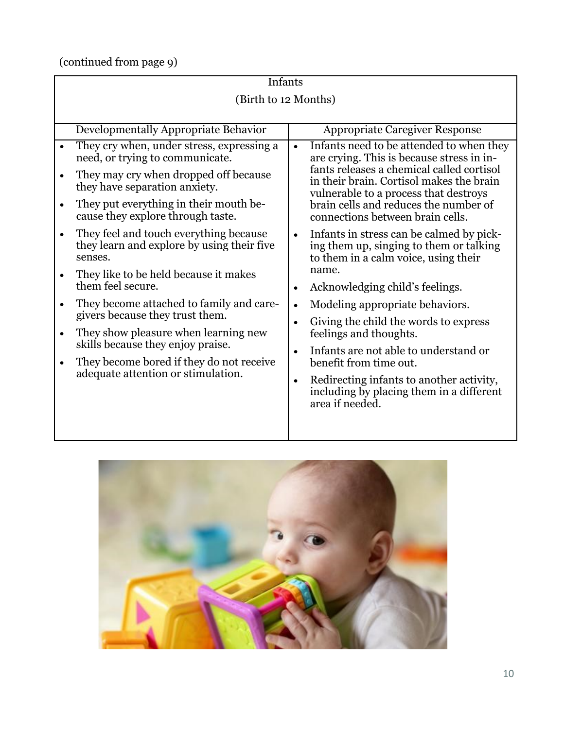(continued from page 9)

|           | Infants                                                                                         |                                                                                                                                          |  |  |  |
|-----------|-------------------------------------------------------------------------------------------------|------------------------------------------------------------------------------------------------------------------------------------------|--|--|--|
|           | (Birth to 12 Months)                                                                            |                                                                                                                                          |  |  |  |
|           |                                                                                                 |                                                                                                                                          |  |  |  |
|           | Developmentally Appropriate Behavior                                                            | <b>Appropriate Caregiver Response</b>                                                                                                    |  |  |  |
|           | They cry when, under stress, expressing a<br>need, or trying to communicate.                    | Infants need to be attended to when they<br>are crying. This is because stress in in-                                                    |  |  |  |
|           | They may cry when dropped off because<br>they have separation anxiety.                          | fants releases a chemical called cortisol<br>in their brain. Cortisol makes the brain<br>vulnerable to a process that destroys           |  |  |  |
|           | They put everything in their mouth be-<br>cause they explore through taste.                     | brain cells and reduces the number of<br>connections between brain cells.                                                                |  |  |  |
|           | They feel and touch everything because<br>they learn and explore by using their five<br>senses. | Infants in stress can be calmed by pick-<br>$\bullet$<br>ing them up, singing to them or talking<br>to them in a calm voice, using their |  |  |  |
|           | They like to be held because it makes<br>them feel secure.                                      | name.<br>Acknowledging child's feelings.                                                                                                 |  |  |  |
|           | They become attached to family and care-<br>givers because they trust them.                     | Modeling appropriate behaviors.<br>$\bullet$                                                                                             |  |  |  |
| $\bullet$ | They show pleasure when learning new                                                            | Giving the child the words to express<br>feelings and thoughts.                                                                          |  |  |  |
|           | skills because they enjoy praise.<br>They become bored if they do not receive                   | Infants are not able to understand or<br>benefit from time out.                                                                          |  |  |  |
|           | adequate attention or stimulation.                                                              | Redirecting infants to another activity,<br>including by placing them in a different<br>area if needed.                                  |  |  |  |
|           |                                                                                                 |                                                                                                                                          |  |  |  |

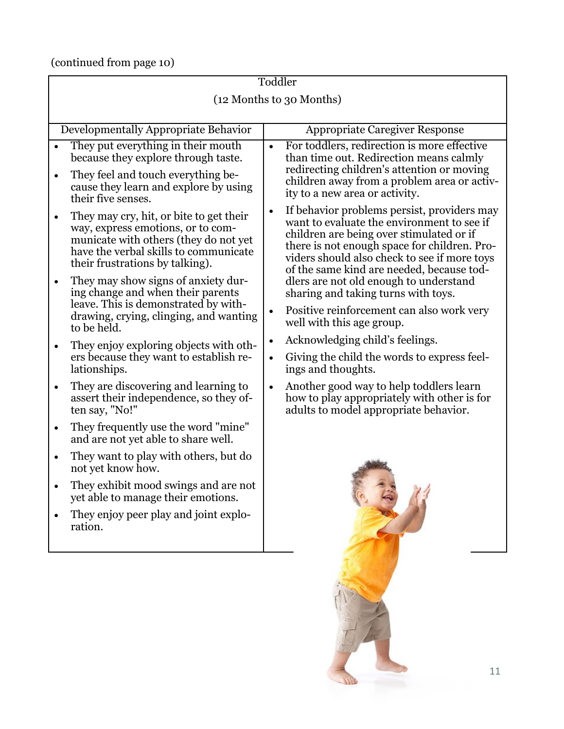(continued from page 10)

| Toddler                  |                                                                                                                                                                                                   |                                                                                 |                                                                                                                                                                                                                                                                                    |  |  |
|--------------------------|---------------------------------------------------------------------------------------------------------------------------------------------------------------------------------------------------|---------------------------------------------------------------------------------|------------------------------------------------------------------------------------------------------------------------------------------------------------------------------------------------------------------------------------------------------------------------------------|--|--|
| (12 Months to 30 Months) |                                                                                                                                                                                                   |                                                                                 |                                                                                                                                                                                                                                                                                    |  |  |
|                          |                                                                                                                                                                                                   |                                                                                 |                                                                                                                                                                                                                                                                                    |  |  |
|                          | Developmentally Appropriate Behavior                                                                                                                                                              |                                                                                 | <b>Appropriate Caregiver Response</b>                                                                                                                                                                                                                                              |  |  |
| $\bullet$                | They put everything in their mouth<br>because they explore through taste.<br>They feel and touch everything be-<br>cause they learn and explore by using<br>their five senses.                    | $\bullet$                                                                       | For toddlers, redirection is more effective<br>than time out. Redirection means calmly<br>redirecting children's attention or moving<br>children away from a problem area or activ-<br>ity to a new area or activity.                                                              |  |  |
| $\bullet$                | They may cry, hit, or bite to get their<br>way, express emotions, or to com-<br>municate with others (they do not yet<br>have the verbal skills to communicate<br>their frustrations by talking). | $\bullet$                                                                       | If behavior problems persist, providers may<br>want to evaluate the environment to see if<br>children are being over stimulated or if<br>there is not enough space for children. Pro-<br>viders should also check to see if more toys<br>of the same kind are needed, because tod- |  |  |
| $\bullet$                | They may show signs of anxiety dur-<br>ing change and when their parents<br>leave. This is demonstrated by with-<br>drawing, crying, clinging, and wanting                                        | $\bullet$                                                                       | dlers are not old enough to understand<br>sharing and taking turns with toys.<br>Positive reinforcement can also work very                                                                                                                                                         |  |  |
|                          | to be held.                                                                                                                                                                                       |                                                                                 | well with this age group.                                                                                                                                                                                                                                                          |  |  |
| $\bullet$                | They enjoy exploring objects with oth-<br>ers because they want to establish re-<br>lationships.                                                                                                  | Acknowledging child's feelings.<br>$\bullet$<br>$\bullet$<br>ings and thoughts. | Giving the child the words to express feel-                                                                                                                                                                                                                                        |  |  |
| $\bullet$                | They are discovering and learning to<br>assert their independence, so they of-<br>ten say, "No!"                                                                                                  | $\bullet$                                                                       | Another good way to help toddlers learn<br>how to play appropriately with other is for<br>adults to model appropriate behavior.                                                                                                                                                    |  |  |
| $\bullet$                | They frequently use the word "mine"<br>and are not yet able to share well.                                                                                                                        |                                                                                 |                                                                                                                                                                                                                                                                                    |  |  |
| $\bullet$                | They want to play with others, but do<br>not yet know how.                                                                                                                                        |                                                                                 |                                                                                                                                                                                                                                                                                    |  |  |
|                          | They exhibit mood swings and are not<br>yet able to manage their emotions.                                                                                                                        |                                                                                 | $\mathcal{L}$                                                                                                                                                                                                                                                                      |  |  |
|                          | They enjoy peer play and joint explo-<br>ration.                                                                                                                                                  |                                                                                 |                                                                                                                                                                                                                                                                                    |  |  |
|                          |                                                                                                                                                                                                   |                                                                                 | 11                                                                                                                                                                                                                                                                                 |  |  |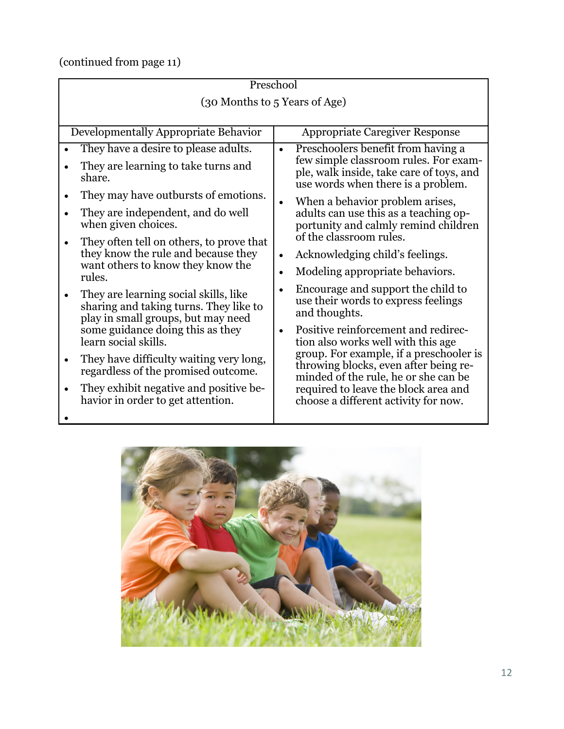(continued from page 11)

| Preschool                                                                                                             |                                                                                                                          |  |  |  |  |
|-----------------------------------------------------------------------------------------------------------------------|--------------------------------------------------------------------------------------------------------------------------|--|--|--|--|
| (30 Months to 5 Years of Age)                                                                                         |                                                                                                                          |  |  |  |  |
|                                                                                                                       |                                                                                                                          |  |  |  |  |
| Developmentally Appropriate Behavior                                                                                  | <b>Appropriate Caregiver Response</b>                                                                                    |  |  |  |  |
| They have a desire to please adults.                                                                                  | Preschoolers benefit from having a<br>$\bullet$                                                                          |  |  |  |  |
| They are learning to take turns and<br>share.                                                                         | few simple classroom rules. For exam-<br>ple, walk inside, take care of toys, and<br>use words when there is a problem.  |  |  |  |  |
| They may have outbursts of emotions.                                                                                  | When a behavior problem arises,                                                                                          |  |  |  |  |
| They are independent, and do well<br>when given choices.                                                              | adults can use this as a teaching op-<br>portunity and calmly remind children                                            |  |  |  |  |
| They often tell on others, to prove that                                                                              | of the classroom rules.                                                                                                  |  |  |  |  |
| they know the rule and because they                                                                                   | Acknowledging child's feelings.<br>$\bullet$                                                                             |  |  |  |  |
| want others to know they know the<br>rules.                                                                           | Modeling appropriate behaviors.<br>$\bullet$                                                                             |  |  |  |  |
| They are learning social skills, like<br>sharing and taking turns. They like to<br>play in small groups, but may need | Encourage and support the child to<br>use their words to express feelings<br>and thoughts.                               |  |  |  |  |
| some guidance doing this as they<br>learn social skills.                                                              | Positive reinforcement and redirec-<br>$\bullet$<br>tion also works well with this age                                   |  |  |  |  |
| They have difficulty waiting very long,<br>regardless of the promised outcome.                                        | group. For example, if a preschooler is<br>throwing blocks, even after being re-<br>minded of the rule, he or she can be |  |  |  |  |
| They exhibit negative and positive be-<br>havior in order to get attention.                                           | required to leave the block area and<br>choose a different activity for now.                                             |  |  |  |  |
|                                                                                                                       |                                                                                                                          |  |  |  |  |
|                                                                                                                       |                                                                                                                          |  |  |  |  |

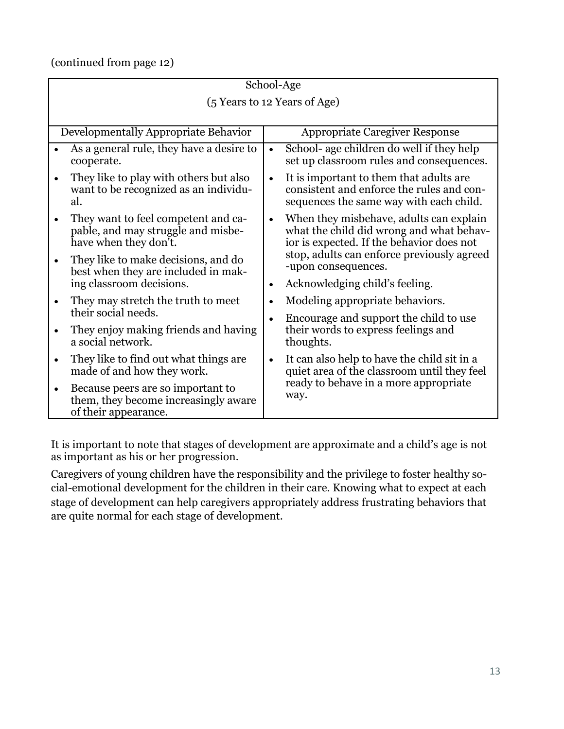(continued from page 12)

| School-Age                                                                                                      |                                                                                                                                              |  |  |  |  |
|-----------------------------------------------------------------------------------------------------------------|----------------------------------------------------------------------------------------------------------------------------------------------|--|--|--|--|
| (5 Years to 12 Years of Age)                                                                                    |                                                                                                                                              |  |  |  |  |
|                                                                                                                 |                                                                                                                                              |  |  |  |  |
| Developmentally Appropriate Behavior                                                                            | <b>Appropriate Caregiver Response</b>                                                                                                        |  |  |  |  |
| As a general rule, they have a desire to<br>cooperate.                                                          | School- age children do well if they help<br>$\bullet$<br>set up classroom rules and consequences.                                           |  |  |  |  |
| They like to play with others but also<br>$\bullet$<br>want to be recognized as an individu-<br>al.             | It is important to them that adults are<br>$\bullet$<br>consistent and enforce the rules and con-<br>sequences the same way with each child. |  |  |  |  |
| They want to feel competent and ca-<br>$\bullet$<br>pable, and may struggle and misbe-<br>have when they don't. | When they misbehave, adults can explain<br>what the child did wrong and what behav-<br>ior is expected. If the behavior does not             |  |  |  |  |
| They like to make decisions, and do<br>$\bullet$<br>best when they are included in mak-                         | stop, adults can enforce previously agreed<br>-upon consequences.                                                                            |  |  |  |  |
| ing classroom decisions.                                                                                        | Acknowledging child's feeling.                                                                                                               |  |  |  |  |
| They may stretch the truth to meet<br>$\bullet$                                                                 | Modeling appropriate behaviors.                                                                                                              |  |  |  |  |
| their social needs.                                                                                             | Encourage and support the child to use                                                                                                       |  |  |  |  |
| They enjoy making friends and having<br>$\bullet$<br>a social network.                                          | their words to express feelings and<br>thoughts.                                                                                             |  |  |  |  |
| They like to find out what things are.<br>$\bullet$<br>made of and how they work.                               | It can also help to have the child sit in a<br>quiet area of the classroom until they feel                                                   |  |  |  |  |
| Because peers are so important to<br>$\bullet$<br>them, they become increasingly aware<br>of their appearance.  | ready to behave in a more appropriate<br>way.                                                                                                |  |  |  |  |

It is important to note that stages of development are approximate and a child's age is not as important as his or her progression.

Caregivers of young children have the responsibility and the privilege to foster healthy social-emotional development for the children in their care. Knowing what to expect at each stage of development can help caregivers appropriately address frustrating behaviors that are quite normal for each stage of development.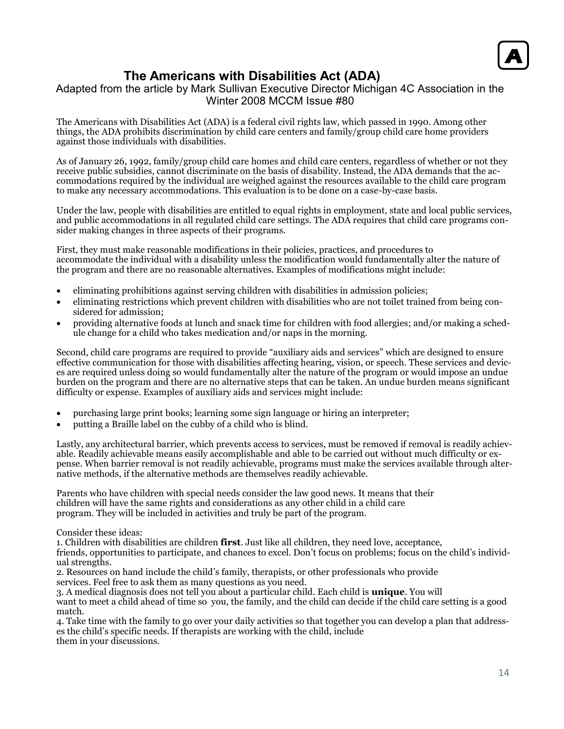

# **The Americans with Disabilities Act (ADA)**

# Adapted from the article by Mark Sullivan Executive Director Michigan 4C Association in the Winter 2008 MCCM Issue #80

The Americans with Disabilities Act (ADA) is a federal civil rights law, which passed in 1990. Among other things, the ADA prohibits discrimination by child care centers and family/group child care home providers against those individuals with disabilities.

As of January 26, 1992, family/group child care homes and child care centers, regardless of whether or not they receive public subsidies, cannot discriminate on the basis of disability. Instead, the ADA demands that the accommodations required by the individual are weighed against the resources available to the child care program to make any necessary accommodations. This evaluation is to be done on a case-by-case basis.

Under the law, people with disabilities are entitled to equal rights in employment, state and local public services, and public accommodations in all regulated child care settings. The ADA requires that child care programs consider making changes in three aspects of their programs.

First, they must make reasonable modifications in their policies, practices, and procedures to accommodate the individual with a disability unless the modification would fundamentally alter the nature of the program and there are no reasonable alternatives. Examples of modifications might include:

- eliminating prohibitions against serving children with disabilities in admission policies;
- eliminating restrictions which prevent children with disabilities who are not toilet trained from being considered for admission;
- providing alternative foods at lunch and snack time for children with food allergies; and/or making a schedule change for a child who takes medication and/or naps in the morning.

Second, child care programs are required to provide "auxiliary aids and services" which are designed to ensure effective communication for those with disabilities affecting hearing, vision, or speech. These services and devices are required unless doing so would fundamentally alter the nature of the program or would impose an undue burden on the program and there are no alternative steps that can be taken. An undue burden means significant difficulty or expense. Examples of auxiliary aids and services might include:

- purchasing large print books; learning some sign language or hiring an interpreter;
- putting a Braille label on the cubby of a child who is blind.

Lastly, any architectural barrier, which prevents access to services, must be removed if removal is readily achievable. Readily achievable means easily accomplishable and able to be carried out without much difficulty or expense. When barrier removal is not readily achievable, programs must make the services available through alternative methods, if the alternative methods are themselves readily achievable.

Parents who have children with special needs consider the law good news. It means that their children will have the same rights and considerations as any other child in a child care program. They will be included in activities and truly be part of the program.

Consider these ideas:

1. Children with disabilities are children **first**. Just like all children, they need love, acceptance,

friends, opportunities to participate, and chances to excel. Don't focus on problems; focus on the child's individual strengths.

2. Resources on hand include the child's family, therapists, or other professionals who provide services. Feel free to ask them as many questions as you need.

3. A medical diagnosis does not tell you about a particular child. Each child is **unique**. You will want to meet a child ahead of time so you, the family, and the child can decide if the child care setting is a good match.

4. Take time with the family to go over your daily activities so that together you can develop a plan that addresses the child's specific needs. If therapists are working with the child, include them in your discussions.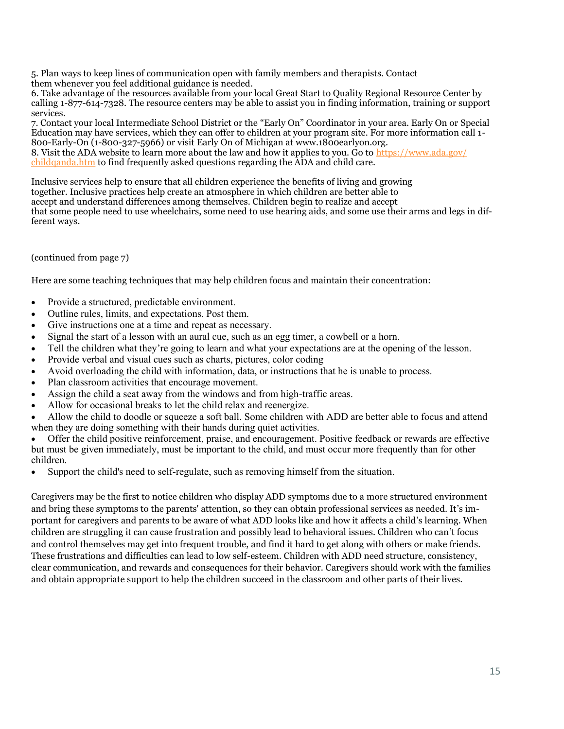5. Plan ways to keep lines of communication open with family members and therapists. Contact them whenever you feel additional guidance is needed.

6. Take advantage of the resources available from your local Great Start to Quality Regional Resource Center by calling 1-877-614-7328. The resource centers may be able to assist you in finding information, training or support services.

7. Contact your local Intermediate School District or the "Early On" Coordinator in your area. Early On or Special Education may have services, which they can offer to children at your program site. For more information call 1- 800-Early-On (1-800-327-5966) or visit Early On of Michigan at www.1800earlyon.org. 8. Visit the ADA website to learn more about the law and how it applies to you. Go to [https://www.ada.gov/](https://www.ada.gov/childqanda.htm) [childqanda.htm](https://www.ada.gov/childqanda.htm) to find frequently asked questions regarding the ADA and child care.

Inclusive services help to ensure that all children experience the benefits of living and growing together. Inclusive practices help create an atmosphere in which children are better able to accept and understand differences among themselves. Children begin to realize and accept that some people need to use wheelchairs, some need to use hearing aids, and some use their arms and legs in different ways.

# (continued from page 7)

Here are some teaching techniques that may help children focus and maintain their concentration:

- Provide a structured, predictable environment.
- Outline rules, limits, and expectations. Post them.
- Give instructions one at a time and repeat as necessary.
- Signal the start of a lesson with an aural cue, such as an egg timer, a cowbell or a horn.
- Tell the children what they're going to learn and what your expectations are at the opening of the lesson.
- Provide verbal and visual cues such as charts, pictures, color coding
- Avoid overloading the child with information, data, or instructions that he is unable to process.
- Plan classroom activities that encourage movement.
- Assign the child a seat away from the windows and from high-traffic areas.
- Allow for occasional breaks to let the child relax and reenergize.

• Allow the child to doodle or squeeze a soft ball. Some children with ADD are better able to focus and attend when they are doing something with their hands during quiet activities.

• Offer the child positive reinforcement, praise, and encouragement. Positive feedback or rewards are effective but must be given immediately, must be important to the child, and must occur more frequently than for other children.

• Support the child's need to self-regulate, such as removing himself from the situation.

Caregivers may be the first to notice children who display ADD symptoms due to a more structured environment and bring these symptoms to the parents' attention, so they can obtain professional services as needed. It's important for caregivers and parents to be aware of what ADD looks like and how it affects a child's learning. When children are struggling it can cause frustration and possibly lead to behavioral issues. Children who can't focus and control themselves may get into frequent trouble, and find it hard to get along with others or make friends. These frustrations and difficulties can lead to low self-esteem. Children with ADD need structure, consistency, clear communication, and rewards and consequences for their behavior. Caregivers should work with the families and obtain appropriate support to help the children succeed in the classroom and other parts of their lives.